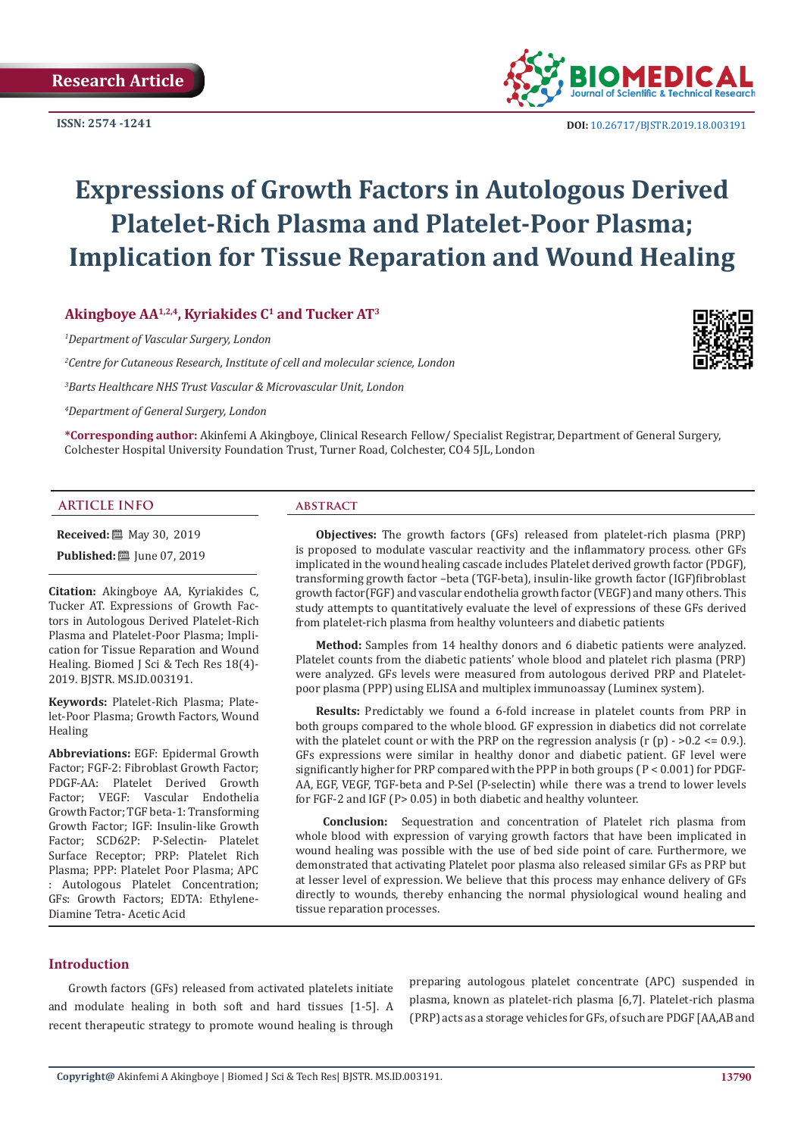**ISSN: 2574 -1241**



 **DOI:** [10.26717/BJSTR.2019.18.0031](http://dx.doi.org/10.26717/BJSTR.2019.18.003191)91

# **Expressions of Growth Factors in Autologous Derived Platelet-Rich Plasma and Platelet-Poor Plasma; Implication for Tissue Reparation and Wound Healing**

Akingboye AA<sup>1,2,4</sup>, Kyriakides C<sup>1</sup> and Tucker AT<sup>3</sup>

*1 Department of Vascular Surgery, London*

*2 Centre for Cutaneous Research, Institute of cell and molecular science, London*

*3 Barts Healthcare NHS Trust Vascular & Microvascular Unit, London*

*4 Department of General Surgery, London*

**\*Corresponding author:** Akinfemi A Akingboye, Clinical Research Fellow/ Specialist Registrar, Department of General Surgery, Colchester Hospital University Foundation Trust, Turner Road, Colchester, CO4 5JL, London

#### **ARTICLE INFO abstract**

**Received:** 圖 May 30, 2019

**Published:** [2019]

**Citation:** Akingboye AA, Kyriakides C, Tucker AT. Expressions of Growth Factors in Autologous Derived Platelet-Rich Plasma and Platelet-Poor Plasma; Implication for Tissue Reparation and Wound Healing. Biomed J Sci & Tech Res 18(4)- 2019. BJSTR. MS.ID.003191.

**Keywords:** Platelet-Rich Plasma; Platelet-Poor Plasma; Growth Factors, Wound Healing

**Abbreviations:** EGF: Epidermal Growth Factor; FGF-2: Fibroblast Growth Factor; PDGF-AA: Platelet Derived Growth Factor; VEGF: Vascular Endothelia Growth Factor; TGF beta-1: Transforming Growth Factor; IGF: Insulin-like Growth Factor; SCD62P: P-Selectin- Platelet Surface Receptor; PRP: Platelet Rich Plasma; PPP: Platelet Poor Plasma; APC : Autologous Platelet Concentration; GFs: Growth Factors; EDTA: Ethylene-Diamine Tetra- Acetic Acid

**Objectives:** The growth factors (GFs) released from platelet-rich plasma (PRP) is proposed to modulate vascular reactivity and the inflammatory process. other GFs implicated in the wound healing cascade includes Platelet derived growth factor (PDGF), transforming growth factor –beta (TGF-beta), insulin-like growth factor (IGF)fibroblast growth factor(FGF) and vascular endothelia growth factor (VEGF) and many others. This study attempts to quantitatively evaluate the level of expressions of these GFs derived from platelet-rich plasma from healthy volunteers and diabetic patients

**Method:** Samples from 14 healthy donors and 6 diabetic patients were analyzed. Platelet counts from the diabetic patients' whole blood and platelet rich plasma (PRP) were analyzed. GFs levels were measured from autologous derived PRP and Plateletpoor plasma (PPP) using ELISA and multiplex immunoassay (Luminex system).

**Results:** Predictably we found a 6-fold increase in platelet counts from PRP in both groups compared to the whole blood. GF expression in diabetics did not correlate with the platelet count or with the PRP on the regression analysis (r (p)  $>$  0.2  $\lt$  = 0.9.). GFs expressions were similar in healthy donor and diabetic patient. GF level were significantly higher for PRP compared with the PPP in both groups ( P < 0.001) for PDGF-AA, EGF, VEGF, TGF-beta and P-Sel (P-selectin) while there was a trend to lower levels for FGF-2 and IGF (P> 0.05) in both diabetic and healthy volunteer.

 **Conclusion:** Sequestration and concentration of Platelet rich plasma from whole blood with expression of varying growth factors that have been implicated in wound healing was possible with the use of bed side point of care. Furthermore, we demonstrated that activating Platelet poor plasma also released similar GFs as PRP but at lesser level of expression. We believe that this process may enhance delivery of GFs directly to wounds, thereby enhancing the normal physiological wound healing and tissue reparation processes.

#### **Introduction**

Growth factors (GFs) released from activated platelets initiate and modulate healing in both soft and hard tissues [1-5]. A recent therapeutic strategy to promote wound healing is through

preparing autologous platelet concentrate (APC) suspended in plasma, known as platelet-rich plasma [6,7]. Platelet-rich plasma (PRP) acts as a storage vehicles for GFs, of such are PDGF [AA,AB and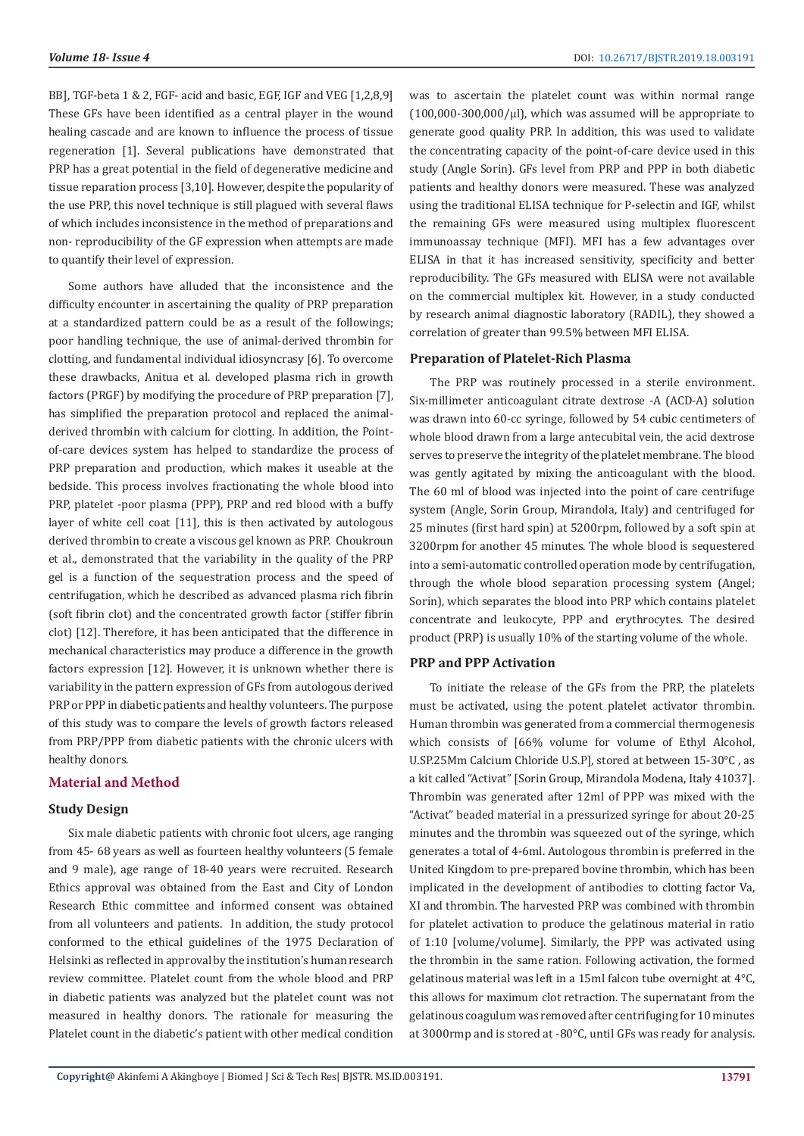BB], TGF-beta 1 & 2, FGF- acid and basic, EGF, IGF and VEG [1,2,8,9] These GFs have been identified as a central player in the wound healing cascade and are known to influence the process of tissue regeneration [1]. Several publications have demonstrated that PRP has a great potential in the field of degenerative medicine and tissue reparation process [3,10]. However, despite the popularity of the use PRP, this novel technique is still plagued with several flaws of which includes inconsistence in the method of preparations and non- reproducibility of the GF expression when attempts are made to quantify their level of expression.

Some authors have alluded that the inconsistence and the difficulty encounter in ascertaining the quality of PRP preparation at a standardized pattern could be as a result of the followings; poor handling technique, the use of animal-derived thrombin for clotting, and fundamental individual idiosyncrasy [6]. To overcome these drawbacks, Anitua et al. developed plasma rich in growth factors (PRGF) by modifying the procedure of PRP preparation [7], has simplified the preparation protocol and replaced the animalderived thrombin with calcium for clotting. In addition, the Pointof-care devices system has helped to standardize the process of PRP preparation and production, which makes it useable at the bedside. This process involves fractionating the whole blood into PRP, platelet -poor plasma (PPP), PRP and red blood with a buffy layer of white cell coat [11], this is then activated by autologous derived thrombin to create a viscous gel known as PRP. Choukroun et al., demonstrated that the variability in the quality of the PRP gel is a function of the sequestration process and the speed of centrifugation, which he described as advanced plasma rich fibrin (soft fibrin clot) and the concentrated growth factor (stiffer fibrin clot) [12]. Therefore, it has been anticipated that the difference in mechanical characteristics may produce a difference in the growth factors expression [12]. However, it is unknown whether there is variability in the pattern expression of GFs from autologous derived PRP or PPP in diabetic patients and healthy volunteers. The purpose of this study was to compare the levels of growth factors released from PRP/PPP from diabetic patients with the chronic ulcers with healthy donors.

#### **Material and Method**

#### **Study Design**

Six male diabetic patients with chronic foot ulcers, age ranging from 45- 68 years as well as fourteen healthy volunteers (5 female and 9 male), age range of 18-40 years were recruited. Research Ethics approval was obtained from the East and City of London Research Ethic committee and informed consent was obtained from all volunteers and patients. In addition, the study protocol conformed to the ethical guidelines of the 1975 Declaration of Helsinki as reflected in approval by the institution's human research review committee. Platelet count from the whole blood and PRP in diabetic patients was analyzed but the platelet count was not measured in healthy donors. The rationale for measuring the Platelet count in the diabetic's patient with other medical condition

was to ascertain the platelet count was within normal range  $(100,000-300,000/\mu l)$ , which was assumed will be appropriate to generate good quality PRP. In addition, this was used to validate the concentrating capacity of the point-of-care device used in this study (Angle Sorin). GFs level from PRP and PPP in both diabetic patients and healthy donors were measured. These was analyzed using the traditional ELISA technique for P-selectin and IGF, whilst the remaining GFs were measured using multiplex fluorescent immunoassay technique (MFI). MFI has a few advantages over ELISA in that it has increased sensitivity, specificity and better reproducibility. The GFs measured with ELISA were not available on the commercial multiplex kit. However, in a study conducted by research animal diagnostic laboratory (RADIL), they showed a correlation of greater than 99.5% between MFI ELISA.

#### **Preparation of Platelet-Rich Plasma**

The PRP was routinely processed in a sterile environment. Six-millimeter anticoagulant citrate dextrose -A (ACD-A) solution was drawn into 60-cc syringe, followed by 54 cubic centimeters of whole blood drawn from a large antecubital vein, the acid dextrose serves to preserve the integrity of the platelet membrane. The blood was gently agitated by mixing the anticoagulant with the blood. The 60 ml of blood was injected into the point of care centrifuge system (Angle, Sorin Group, Mirandola, Italy) and centrifuged for 25 minutes (first hard spin) at 5200rpm, followed by a soft spin at 3200rpm for another 45 minutes. The whole blood is sequestered into a semi-automatic controlled operation mode by centrifugation, through the whole blood separation processing system (Angel; Sorin), which separates the blood into PRP which contains platelet concentrate and leukocyte, PPP and erythrocytes. The desired product (PRP) is usually 10% of the starting volume of the whole.

#### **PRP and PPP Activation**

To initiate the release of the GFs from the PRP, the platelets must be activated, using the potent platelet activator thrombin. Human thrombin was generated from a commercial thermogenesis which consists of [66% volume for volume of Ethyl Alcohol, U.SP.25Mm Calcium Chloride U.S.P], stored at between 15-30°C , as a kit called "Activat" [Sorin Group, Mirandola Modena, Italy 41037]. Thrombin was generated after 12ml of PPP was mixed with the "Activat" beaded material in a pressurized syringe for about 20-25 minutes and the thrombin was squeezed out of the syringe, which generates a total of 4-6ml. Autologous thrombin is preferred in the United Kingdom to pre-prepared bovine thrombin, which has been implicated in the development of antibodies to clotting factor Va, XI and thrombin. The harvested PRP was combined with thrombin for platelet activation to produce the gelatinous material in ratio of 1:10 [volume/volume]. Similarly, the PPP was activated using the thrombin in the same ration. Following activation, the formed gelatinous material was left in a 15ml falcon tube overnight at 4°C, this allows for maximum clot retraction. The supernatant from the gelatinous coagulum was removed after centrifuging for 10 minutes at 3000rmp and is stored at -80°C, until GFs was ready for analysis.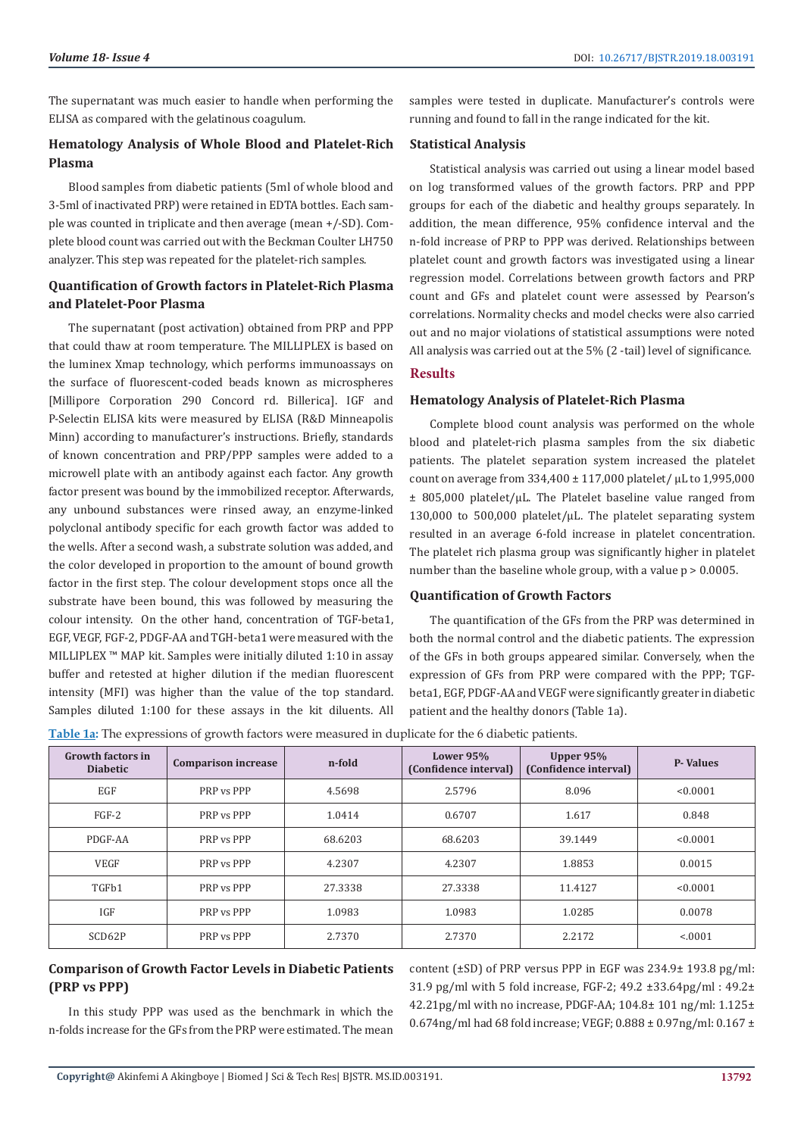The supernatant was much easier to handle when performing the ELISA as compared with the gelatinous coagulum.

# **Hematology Analysis of Whole Blood and Platelet-Rich Plasma**

Blood samples from diabetic patients (5ml of whole blood and 3-5ml of inactivated PRP) were retained in EDTA bottles. Each sample was counted in triplicate and then average (mean +/-SD). Complete blood count was carried out with the Beckman Coulter LH750 analyzer. This step was repeated for the platelet-rich samples.

### **Quantification of Growth factors in Platelet-Rich Plasma and Platelet-Poor Plasma**

The supernatant (post activation) obtained from PRP and PPP that could thaw at room temperature. The MILLIPLEX is based on the luminex Xmap technology, which performs immunoassays on the surface of fluorescent-coded beads known as microspheres [Millipore Corporation 290 Concord rd. Billerica]. IGF and P-Selectin ELISA kits were measured by ELISA (R&D Minneapolis Minn) according to manufacturer's instructions. Briefly, standards of known concentration and PRP/PPP samples were added to a microwell plate with an antibody against each factor. Any growth factor present was bound by the immobilized receptor. Afterwards, any unbound substances were rinsed away, an enzyme-linked polyclonal antibody specific for each growth factor was added to the wells. After a second wash, a substrate solution was added, and the color developed in proportion to the amount of bound growth factor in the first step. The colour development stops once all the substrate have been bound, this was followed by measuring the colour intensity. On the other hand, concentration of TGF-beta1, EGF, VEGF, FGF-2, PDGF-AA and TGH-beta1 were measured with the MILLIPLEX ™ MAP kit. Samples were initially diluted 1:10 in assay buffer and retested at higher dilution if the median fluorescent intensity (MFI) was higher than the value of the top standard. Samples diluted 1:100 for these assays in the kit diluents. All

samples were tested in duplicate. Manufacturer's controls were running and found to fall in the range indicated for the kit.

#### **Statistical Analysis**

Statistical analysis was carried out using a linear model based on log transformed values of the growth factors. PRP and PPP groups for each of the diabetic and healthy groups separately. In addition, the mean difference, 95% confidence interval and the n-fold increase of PRP to PPP was derived. Relationships between platelet count and growth factors was investigated using a linear regression model. Correlations between growth factors and PRP count and GFs and platelet count were assessed by Pearson's correlations. Normality checks and model checks were also carried out and no major violations of statistical assumptions were noted All analysis was carried out at the 5% (2 -tail) level of significance.

### **Results**

#### **Hematology Analysis of Platelet-Rich Plasma**

Complete blood count analysis was performed on the whole blood and platelet-rich plasma samples from the six diabetic patients. The platelet separation system increased the platelet count on average from 334,400 ± 117,000 platelet/ µL to 1,995,000  $\pm$  805,000 platelet/µL. The Platelet baseline value ranged from 130,000 to 500,000 platelet/ $\mu$ L. The platelet separating system resulted in an average 6-fold increase in platelet concentration. The platelet rich plasma group was significantly higher in platelet number than the baseline whole group, with a value  $p > 0.0005$ .

#### **Quantification of Growth Factors**

The quantification of the GFs from the PRP was determined in both the normal control and the diabetic patients. The expression of the GFs in both groups appeared similar. Conversely, when the expression of GFs from PRP were compared with the PPP; TGFbeta1, EGF, PDGF-AA and VEGF were significantly greater in diabetic patient and the healthy donors (Table 1a).

**Table 1a:** The expressions of growth factors were measured in duplicate for the 6 diabetic patients.

| <b>Growth factors in</b><br><b>Diabetic</b> | <b>Comparison increase</b> | n-fold  | Lower 95%<br>(Confidence interval) | Upper 95%<br>(Confidence interval) | <b>P</b> -Values |  |
|---------------------------------------------|----------------------------|---------|------------------------------------|------------------------------------|------------------|--|
| EGF                                         | PRP vs PPP                 | 4.5698  | 2.5796                             | 8.096                              | < 0.0001         |  |
| $FGF-2$                                     | PRP vs PPP                 | 1.0414  | 0.6707                             | 1.617                              | 0.848            |  |
| PDGF-AA                                     | PRP vs PPP                 | 68.6203 | 68.6203                            | 39.1449                            | < 0.0001         |  |
| <b>VEGF</b>                                 | PRP vs PPP                 | 4.2307  | 4.2307                             | 1.8853                             | 0.0015           |  |
| TGFb1                                       | PRP vs PPP                 | 27.3338 | 27.3338                            | 11.4127                            | < 0.0001         |  |
| IGF                                         | PRP vs PPP                 | 1.0983  | 1.0983                             | 1.0285                             | 0.0078           |  |
| SCD62P                                      | PRP vs PPP                 | 2.7370  | 2.7370                             | 2.2172                             | < 0.001          |  |

# **Comparison of Growth Factor Levels in Diabetic Patients (PRP vs PPP)**

In this study PPP was used as the benchmark in which the n-folds increase for the GFs from the PRP were estimated. The mean content (±SD) of PRP versus PPP in EGF was 234.9± 193.8 pg/ml: 31.9 pg/ml with 5 fold increase, FGF-2; 49.2 ±33.64pg/ml : 49.2± 42.21pg/ml with no increase, PDGF-AA; 104.8± 101 ng/ml: 1.125± 0.674ng/ml had 68 fold increase; VEGF; 0.888 ± 0.97ng/ml: 0.167 ±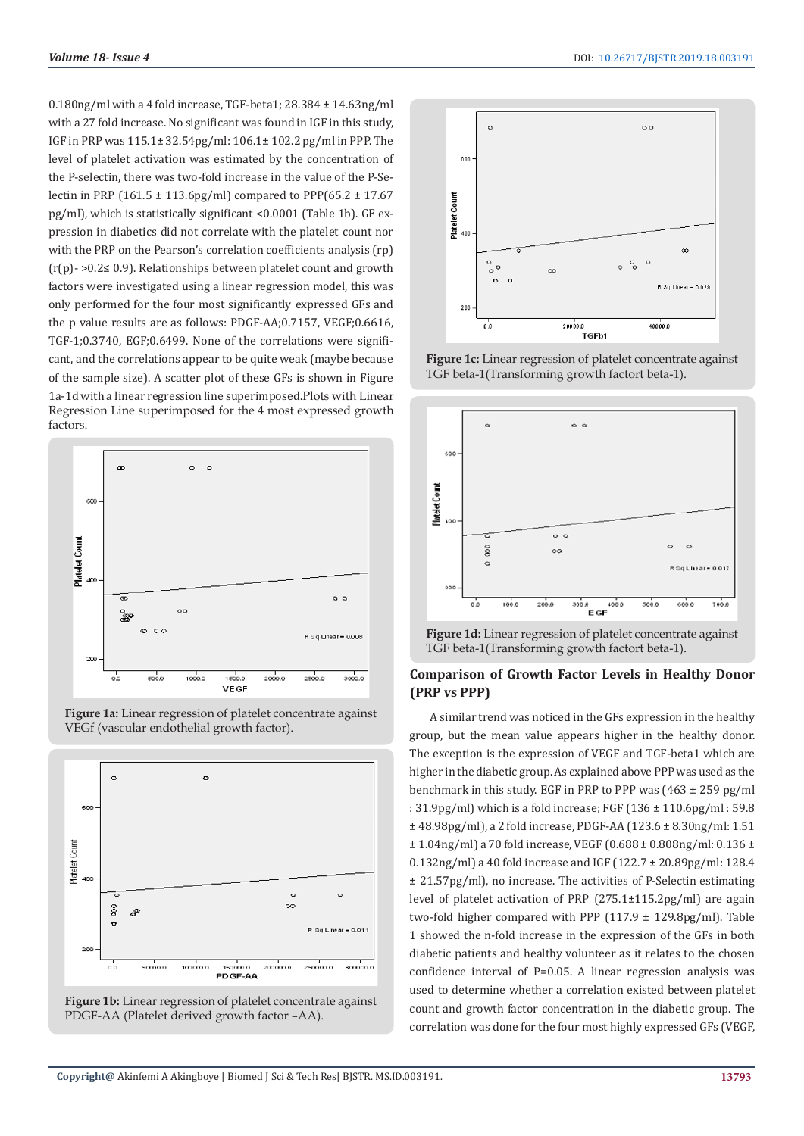0.180ng/ml with a 4 fold increase, TGF-beta1; 28.384 ± 14.63ng/ml with a 27 fold increase. No significant was found in IGF in this study, IGF in PRP was 115.1± 32.54pg/ml: 106.1± 102.2 pg/ml in PPP. The level of platelet activation was estimated by the concentration of the P-selectin, there was two-fold increase in the value of the P-Selectin in PRP (161.5  $\pm$  113.6pg/ml) compared to PPP(65.2  $\pm$  17.67 pg/ml), which is statistically significant <0.0001 (Table 1b). GF expression in diabetics did not correlate with the platelet count nor with the PRP on the Pearson's correlation coefficients analysis (rp) (r(p)- >0.2≤ 0.9). Relationships between platelet count and growth factors were investigated using a linear regression model, this was only performed for the four most significantly expressed GFs and the p value results are as follows: PDGF-AA;0.7157, VEGF;0.6616, TGF-1;0.3740, EGF;0.6499. None of the correlations were significant, and the correlations appear to be quite weak (maybe because of the sample size). A scatter plot of these GFs is shown in Figure 1a-1d with a linear regression line superimposed.Plots with Linear Regression Line superimposed for the 4 most expressed growth factors.



**Figure 1a:** Linear regression of platelet concentrate against VEGf (vascular endothelial growth factor).







**Figure 1c:** Linear regression of platelet concentrate against TGF beta-1(Transforming growth factort beta-1).



**Figure 1d:** Linear regression of platelet concentrate against TGF beta-1(Transforming growth factort beta-1).

# **Comparison of Growth Factor Levels in Healthy Donor (PRP vs PPP)**

A similar trend was noticed in the GFs expression in the healthy group, but the mean value appears higher in the healthy donor. The exception is the expression of VEGF and TGF-beta1 which are higher in the diabetic group. As explained above PPP was used as the benchmark in this study. EGF in PRP to PPP was (463 ± 259 pg/ml : 31.9pg/ml) which is a fold increase; FGF (136 ± 110.6pg/ml : 59.8 ± 48.98pg/ml), a 2 fold increase, PDGF-AA (123.6 ± 8.30ng/ml: 1.51  $\pm$  1.04ng/ml) a 70 fold increase, VEGF (0.688  $\pm$  0.808ng/ml: 0.136  $\pm$ 0.132ng/ml) a 40 fold increase and IGF (122.7 ± 20.89pg/ml: 128.4 ± 21.57pg/ml), no increase. The activities of P-Selectin estimating level of platelet activation of PRP (275.1±115.2pg/ml) are again two-fold higher compared with PPP  $(117.9 \pm 129.8 \text{pg/ml})$ . Table 1 showed the n-fold increase in the expression of the GFs in both diabetic patients and healthy volunteer as it relates to the chosen confidence interval of P=0.05. A linear regression analysis was used to determine whether a correlation existed between platelet count and growth factor concentration in the diabetic group. The correlation was done for the four most highly expressed GFs (VEGF,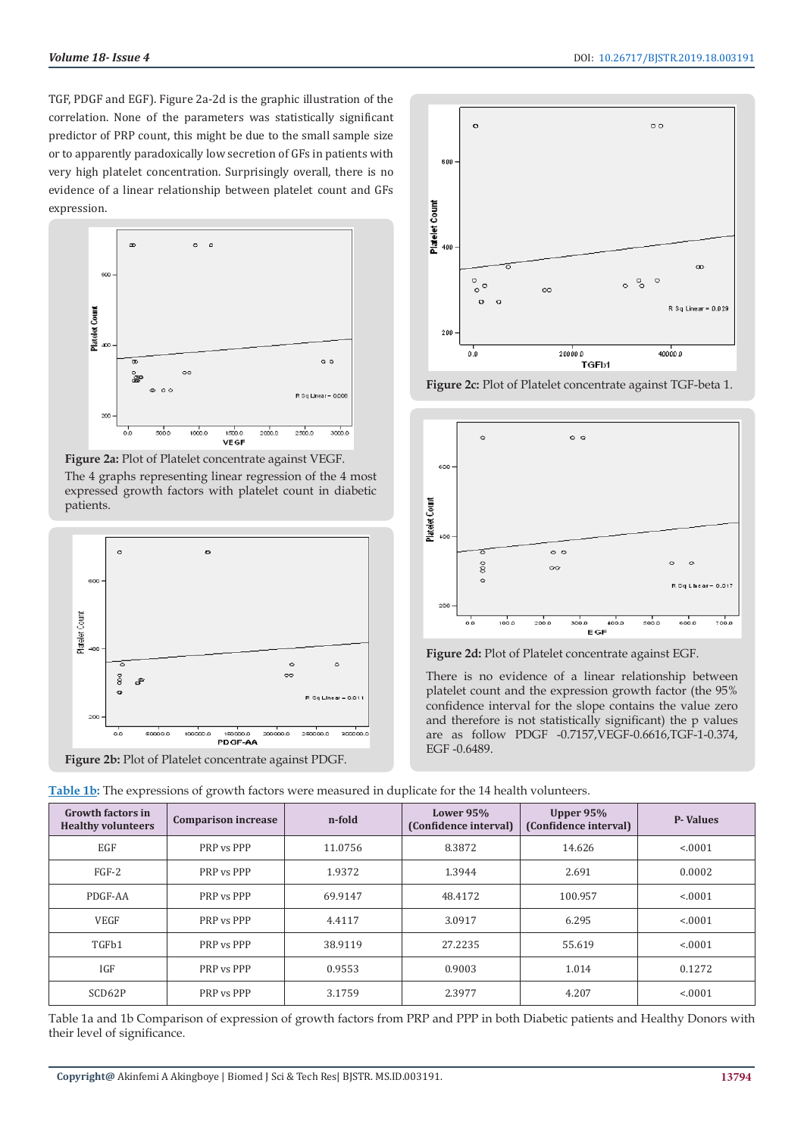TGF, PDGF and EGF). Figure 2a-2d is the graphic illustration of the correlation. None of the parameters was statistically significant predictor of PRP count, this might be due to the small sample size or to apparently paradoxically low secretion of GFs in patients with very high platelet concentration. Surprisingly overall, there is no evidence of a linear relationship between platelet count and GFs expression.



**Figure 2a:** Plot of Platelet concentrate against VEGF. The 4 graphs representing linear regression of the 4 most expressed growth factors with platelet count in diabetic patients.



**Figure 2b:** Plot of Platelet concentrate against PDGF.



**Figure 2c:** Plot of Platelet concentrate against TGF-beta 1.



**Figure 2d:** Plot of Platelet concentrate against EGF.

There is no evidence of a linear relationship between platelet count and the expression growth factor (the 95% confidence interval for the slope contains the value zero and therefore is not statistically significant) the p values are as follow PDGF -0.7157,VEGF-0.6616,TGF-1-0.374, EGF -0.6489.

| <b>Growth factors in</b><br><b>Healthy volunteers</b> | <b>Comparison increase</b> | n-fold  | Lower $95%$<br>(Confidence interval) | Upper 95%<br>(Confidence interval) | <b>P-Values</b> |
|-------------------------------------------------------|----------------------------|---------|--------------------------------------|------------------------------------|-----------------|
| EGF                                                   | PRP vs PPP                 | 11.0756 | 8.3872                               | 14.626                             | < 0001          |
| $FGF-2$                                               | PRP vs PPP                 | 1.9372  | 1.3944                               | 2.691                              | 0.0002          |
| PDGF-AA                                               | PRP vs PPP                 | 69.9147 | 48.4172                              | 100.957                            | < 0001          |
| <b>VEGF</b>                                           | PRP vs PPP                 | 4.4117  | 3.0917                               | 6.295                              | < 0.001         |
| TGFb1                                                 | PRP vs PPP                 | 38.9119 | 27.2235                              | 55.619                             | < 0001          |
| IGF                                                   | PRP vs PPP                 | 0.9553  | 0.9003                               | 1.014                              | 0.1272          |
| SCD62P                                                | PRP vs PPP                 | 3.1759  | 2.3977                               | 4.207                              | < 0001          |
|                                                       |                            |         |                                      |                                    |                 |

**Table 1b:** The expressions of growth factors were measured in duplicate for the 14 health volunteers.

Table 1a and 1b Comparison of expression of growth factors from PRP and PPP in both Diabetic patients and Healthy Donors with their level of significance.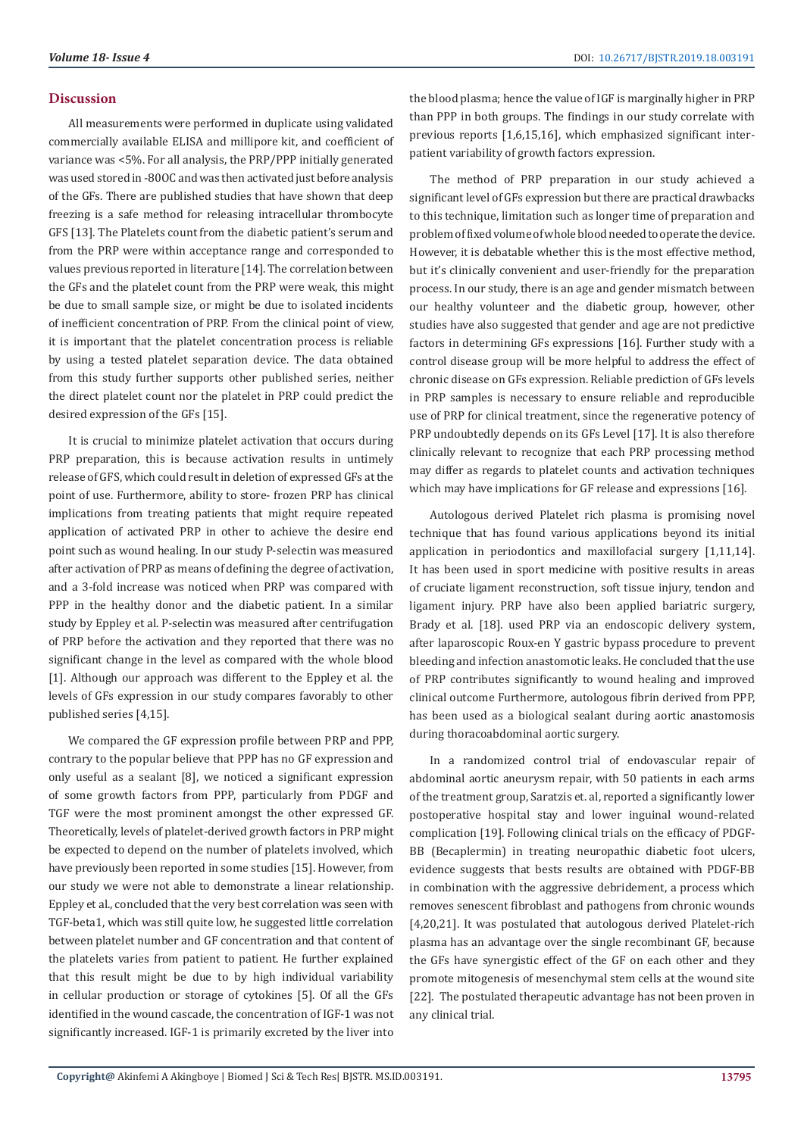#### **Discussion**

All measurements were performed in duplicate using validated commercially available ELISA and millipore kit, and coefficient of variance was <5%. For all analysis, the PRP/PPP initially generated was used stored in -80OC and was then activated just before analysis of the GFs. There are published studies that have shown that deep freezing is a safe method for releasing intracellular thrombocyte GFS [13]. The Platelets count from the diabetic patient's serum and from the PRP were within acceptance range and corresponded to values previous reported in literature [14]. The correlation between the GFs and the platelet count from the PRP were weak, this might be due to small sample size, or might be due to isolated incidents of inefficient concentration of PRP. From the clinical point of view, it is important that the platelet concentration process is reliable by using a tested platelet separation device. The data obtained from this study further supports other published series, neither the direct platelet count nor the platelet in PRP could predict the desired expression of the GFs [15].

It is crucial to minimize platelet activation that occurs during PRP preparation, this is because activation results in untimely release of GFS, which could result in deletion of expressed GFs at the point of use. Furthermore, ability to store- frozen PRP has clinical implications from treating patients that might require repeated application of activated PRP in other to achieve the desire end point such as wound healing. In our study P-selectin was measured after activation of PRP as means of defining the degree of activation, and a 3-fold increase was noticed when PRP was compared with PPP in the healthy donor and the diabetic patient. In a similar study by Eppley et al. P-selectin was measured after centrifugation of PRP before the activation and they reported that there was no significant change in the level as compared with the whole blood [1]. Although our approach was different to the Eppley et al. the levels of GFs expression in our study compares favorably to other published series [4,15].

We compared the GF expression profile between PRP and PPP, contrary to the popular believe that PPP has no GF expression and only useful as a sealant [8], we noticed a significant expression of some growth factors from PPP, particularly from PDGF and TGF were the most prominent amongst the other expressed GF. Theoretically, levels of platelet-derived growth factors in PRP might be expected to depend on the number of platelets involved, which have previously been reported in some studies [15]. However, from our study we were not able to demonstrate a linear relationship. Eppley et al., concluded that the very best correlation was seen with TGF-beta1, which was still quite low, he suggested little correlation between platelet number and GF concentration and that content of the platelets varies from patient to patient. He further explained that this result might be due to by high individual variability in cellular production or storage of cytokines [5]. Of all the GFs identified in the wound cascade, the concentration of IGF-1 was not significantly increased. IGF-1 is primarily excreted by the liver into

the blood plasma; hence the value of IGF is marginally higher in PRP than PPP in both groups. The findings in our study correlate with previous reports [1,6,15,16], which emphasized significant interpatient variability of growth factors expression.

The method of PRP preparation in our study achieved a significant level of GFs expression but there are practical drawbacks to this technique, limitation such as longer time of preparation and problem of fixed volume of whole blood needed to operate the device. However, it is debatable whether this is the most effective method, but it's clinically convenient and user-friendly for the preparation process. In our study, there is an age and gender mismatch between our healthy volunteer and the diabetic group, however, other studies have also suggested that gender and age are not predictive factors in determining GFs expressions [16]. Further study with a control disease group will be more helpful to address the effect of chronic disease on GFs expression. Reliable prediction of GFs levels in PRP samples is necessary to ensure reliable and reproducible use of PRP for clinical treatment, since the regenerative potency of PRP undoubtedly depends on its GFs Level [17]. It is also therefore clinically relevant to recognize that each PRP processing method may differ as regards to platelet counts and activation techniques which may have implications for GF release and expressions [16].

Autologous derived Platelet rich plasma is promising novel technique that has found various applications beyond its initial application in periodontics and maxillofacial surgery [1,11,14]. It has been used in sport medicine with positive results in areas of cruciate ligament reconstruction, soft tissue injury, tendon and ligament injury. PRP have also been applied bariatric surgery, Brady et al. [18]. used PRP via an endoscopic delivery system, after laparoscopic Roux-en Y gastric bypass procedure to prevent bleeding and infection anastomotic leaks. He concluded that the use of PRP contributes significantly to wound healing and improved clinical outcome Furthermore, autologous fibrin derived from PPP, has been used as a biological sealant during aortic anastomosis during thoracoabdominal aortic surgery.

In a randomized control trial of endovascular repair of abdominal aortic aneurysm repair, with 50 patients in each arms of the treatment group, Saratzis et. al, reported a significantly lower postoperative hospital stay and lower inguinal wound-related complication [19]. Following clinical trials on the efficacy of PDGF-BB (Becaplermin) in treating neuropathic diabetic foot ulcers, evidence suggests that bests results are obtained with PDGF-BB in combination with the aggressive debridement, a process which removes senescent fibroblast and pathogens from chronic wounds [4,20,21]. It was postulated that autologous derived Platelet-rich plasma has an advantage over the single recombinant GF, because the GFs have synergistic effect of the GF on each other and they promote mitogenesis of mesenchymal stem cells at the wound site [22]. The postulated therapeutic advantage has not been proven in any clinical trial.